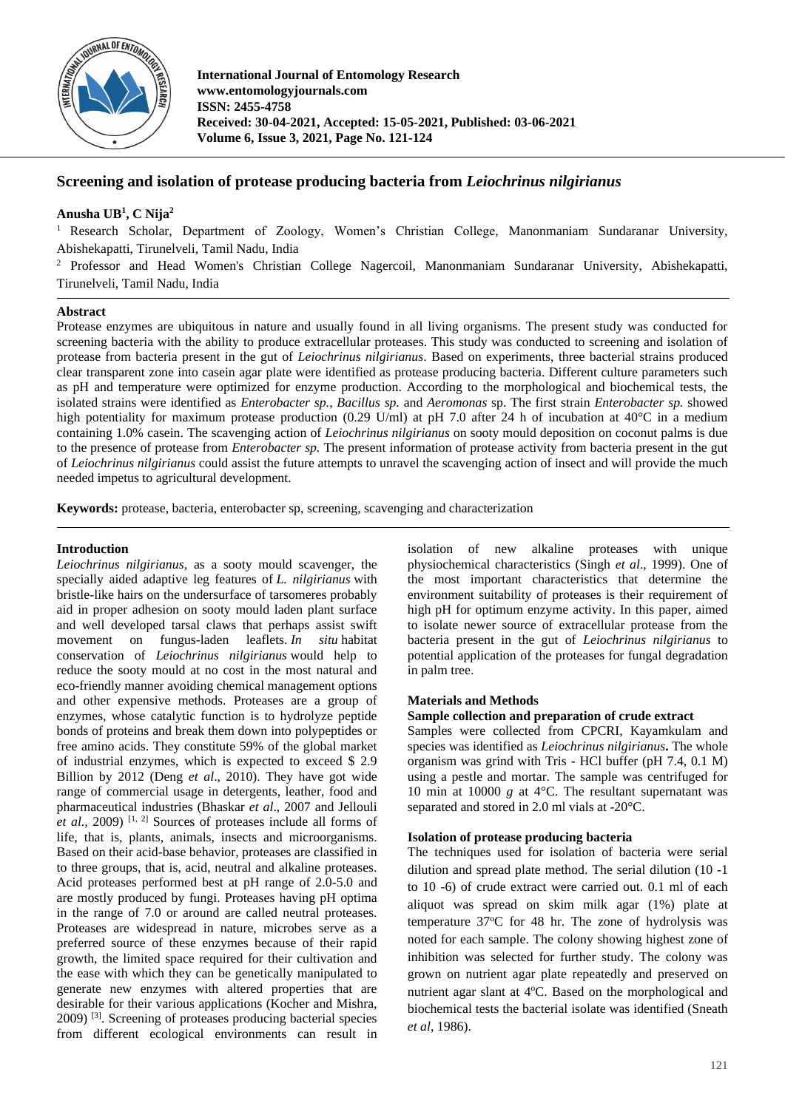

**International Journal of Entomology Research www.entomologyjournals.com ISSN: 2455-4758 Received: 30-04-2021, Accepted: 15-05-2021, Published: 03-06-2021 Volume 6, Issue 3, 2021, Page No. 121-124**

# **Screening and isolation of protease producing bacteria from** *Leiochrinus nilgirianus*

## **Anusha UB 1 , C Nija<sup>2</sup>**

<sup>1</sup> Research Scholar, Department of Zoology, Women's Christian College, Manonmaniam Sundaranar University, Abishekapatti, Tirunelveli, Tamil Nadu, India

<sup>2</sup> Professor and Head Women's Christian College Nagercoil, Manonmaniam Sundaranar University, Abishekapatti, Tirunelveli, Tamil Nadu, India

## **Abstract**

Protease enzymes are ubiquitous in nature and usually found in all living organisms. The present study was conducted for screening bacteria with the ability to produce extracellular proteases. This study was conducted to screening and isolation of protease from bacteria present in the gut of *Leiochrinus nilgirianus*. Based on experiments, three bacterial strains produced clear transparent zone into casein agar plate were identified as protease producing bacteria. Different culture parameters such as pH and temperature were optimized for enzyme production. According to the morphological and biochemical tests, the isolated strains were identified as *Enterobacter sp.*, *Bacillus sp.* and *Aeromonas* sp. The first strain *Enterobacter sp.* showed high potentiality for maximum protease production (0.29 U/ml) at pH 7.0 after 24 h of incubation at  $40^{\circ}$ C in a medium containing 1.0% casein. The scavenging action of *Leiochrinus nilgirianus* on sooty mould deposition on coconut palms is due to the presence of protease from *Enterobacter sp.* The present information of protease activity from bacteria present in the gut of *Leiochrinus nilgirianus* could assist the future attempts to unravel the scavenging action of insect and will provide the much needed impetus to agricultural development.

**Keywords:** protease, bacteria, enterobacter sp, screening, scavenging and characterization

### **Introduction**

*Leiochrinus nilgirianus*, as a sooty mould scavenger, the specially aided adaptive leg features of *L. nilgirianus* with bristle-like hairs on the undersurface of tarsomeres probably aid in proper adhesion on sooty mould laden plant surface and well developed tarsal claws that perhaps assist swift movement on fungus-laden leaflets. *In situ* habitat conservation of *Leiochrinus nilgirianus* would help to reduce the sooty mould at no cost in the most natural and eco-friendly manner avoiding chemical management options and other expensive methods. Proteases are a group of enzymes, whose catalytic function is to hydrolyze peptide bonds of proteins and break them down into polypeptides or free amino acids. They constitute 59% of the global market of industrial enzymes, which is expected to exceed \$ 2.9 Billion by 2012 (Deng *et al*., 2010). They have got wide range of commercial usage in detergents, leather, food and pharmaceutical industries (Bhaskar *et al*., 2007 and Jellouli *et al.*, 2009)<sup>[1, 2]</sup> Sources of proteases include all forms of life, that is, plants, animals, insects and microorganisms. Based on their acid-base behavior, proteases are classified in to three groups, that is, acid, neutral and alkaline proteases. Acid proteases performed best at pH range of 2.0-5.0 and are mostly produced by fungi. Proteases having pH optima in the range of 7.0 or around are called neutral proteases. Proteases are widespread in nature, microbes serve as a preferred source of these enzymes because of their rapid growth, the limited space required for their cultivation and the ease with which they can be genetically manipulated to generate new enzymes with altered properties that are desirable for their various applications (Kocher and Mishra, 2009) [3]. Screening of proteases producing bacterial species from different ecological environments can result in isolation of new alkaline proteases with unique physiochemical characteristics (Singh *et al*., 1999). One of the most important characteristics that determine the environment suitability of proteases is their requirement of high pH for optimum enzyme activity. In this paper, aimed to isolate newer source of extracellular protease from the bacteria present in the gut of *Leiochrinus nilgirianus* to potential application of the proteases for fungal degradation in palm tree.

## **Materials and Methods**

## **Sample collection and preparation of crude extract**

Samples were collected from CPCRI, Kayamkulam and species was identified as *Leiochrinus nilgirianus***.** The whole organism was grind with Tris - HCl buffer (pH 7.4, 0.1 M) using a pestle and mortar. The sample was centrifuged for 10 min at 10000 *g* at 4°C. The resultant supernatant was separated and stored in 2.0 ml vials at -20°C.

### **Isolation of protease producing bacteria**

The techniques used for isolation of bacteria were serial dilution and spread plate method. The serial dilution (10 -1 to 10 -6) of crude extract were carried out. 0.1 ml of each aliquot was spread on skim milk agar (1%) plate at temperature  $37^{\circ}$ C for 48 hr. The zone of hydrolysis was noted for each sample. The colony showing highest zone of inhibition was selected for further study. The colony was grown on nutrient agar plate repeatedly and preserved on nutrient agar slant at 4°C. Based on the morphological and biochemical tests the bacterial isolate was identified (Sneath *et al*, 1986).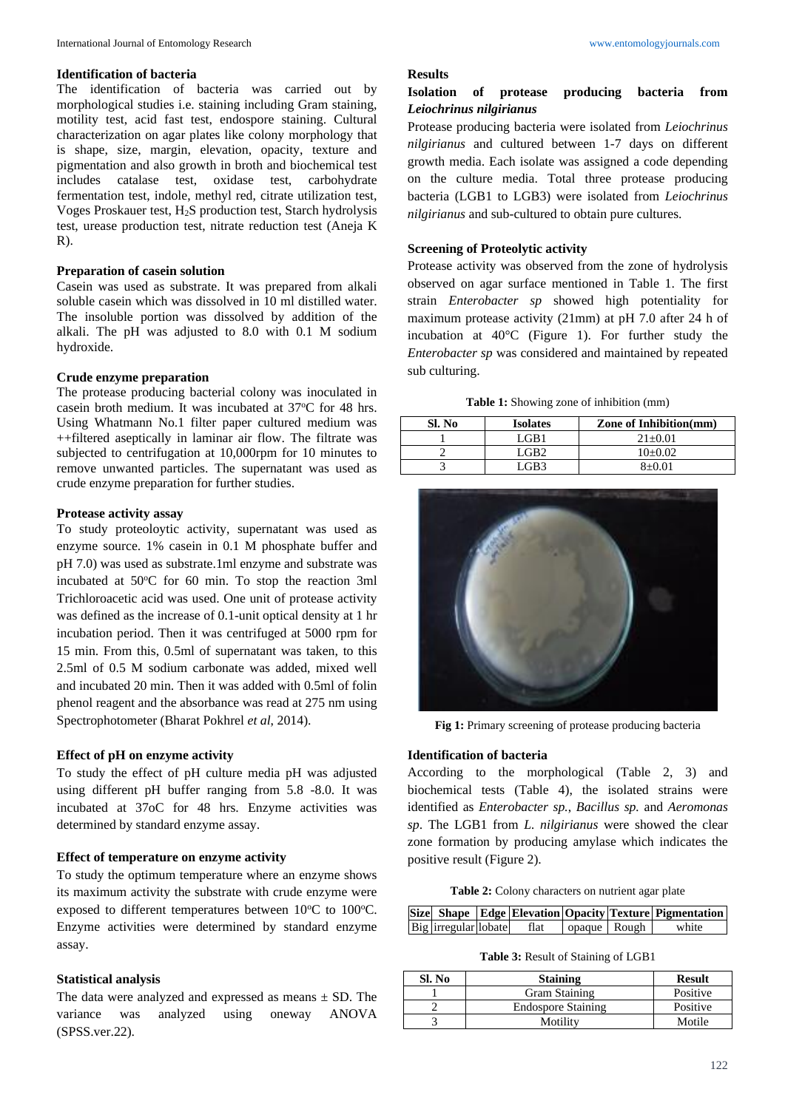#### **Identification of bacteria**

The identification of bacteria was carried out by morphological studies i.e. staining including Gram staining, motility test, acid fast test, endospore staining. Cultural characterization on agar plates like colony morphology that is shape, size, margin, elevation, opacity, texture and pigmentation and also growth in broth and biochemical test includes catalase test, oxidase test, carbohydrate fermentation test, indole, methyl red, citrate utilization test, Voges Proskauer test, H2S production test, Starch hydrolysis test, urease production test, nitrate reduction test (Aneja K  $R$ ).

#### **Preparation of casein solution**

Casein was used as substrate. It was prepared from alkali soluble casein which was dissolved in 10 ml distilled water. The insoluble portion was dissolved by addition of the alkali. The pH was adjusted to 8.0 with 0.1 M sodium hydroxide.

#### **Crude enzyme preparation**

The protease producing bacterial colony was inoculated in casein broth medium. It was incubated at 37°C for 48 hrs. Using Whatmann No.1 filter paper cultured medium was ++filtered aseptically in laminar air flow. The filtrate was subjected to centrifugation at 10,000rpm for 10 minutes to remove unwanted particles. The supernatant was used as crude enzyme preparation for further studies.

### **Protease activity assay**

To study proteoloytic activity, supernatant was used as enzyme source. 1% casein in 0.1 M phosphate buffer and pH 7.0) was used as substrate.1ml enzyme and substrate was incubated at  $50^{\circ}$ C for 60 min. To stop the reaction 3ml Trichloroacetic acid was used. One unit of protease activity was defined as the increase of 0.1-unit optical density at 1 hr incubation period. Then it was centrifuged at 5000 rpm for 15 min. From this, 0.5ml of supernatant was taken, to this 2.5ml of 0.5 M sodium carbonate was added, mixed well and incubated 20 min. Then it was added with 0.5ml of folin phenol reagent and the absorbance was read at 275 nm using Spectrophotometer (Bharat Pokhrel *et al*, 2014).

### **Effect of pH on enzyme activity**

To study the effect of pH culture media pH was adjusted using different pH buffer ranging from 5.8 -8.0. It was incubated at 37oC for 48 hrs. Enzyme activities was determined by standard enzyme assay.

## **Effect of temperature on enzyme activity**

To study the optimum temperature where an enzyme shows its maximum activity the substrate with crude enzyme were exposed to different temperatures between  $10^{\circ}$ C to  $100^{\circ}$ C. Enzyme activities were determined by standard enzyme assay.

### **Statistical analysis**

The data were analyzed and expressed as means  $\pm$  SD. The variance was analyzed using oneway ANOVA (SPSS.ver.22).

### **Results**

## **Isolation of protease producing bacteria from**  *Leiochrinus nilgirianus*

Protease producing bacteria were isolated from *Leiochrinus nilgirianus* and cultured between 1-7 days on different growth media. Each isolate was assigned a code depending on the culture media. Total three protease producing bacteria (LGB1 to LGB3) were isolated from *Leiochrinus nilgirianus* and sub-cultured to obtain pure cultures.

#### **Screening of Proteolytic activity**

Protease activity was observed from the zone of hydrolysis observed on agar surface mentioned in Table 1. The first strain *Enterobacter sp* showed high potentiality for maximum protease activity (21mm) at pH 7.0 after 24 h of incubation at 40°C (Figure 1). For further study the *Enterobacter sp* was considered and maintained by repeated sub culturing.

**Table 1:** Showing zone of inhibition (mm)

| Sl. No | <b>Isolates</b> | <b>Zone of Inhibition(mm)</b> |
|--------|-----------------|-------------------------------|
|        | LGB1            | $21+0.01$                     |
|        | GR <sub>2</sub> | $10+0.02$                     |
|        | G R3            | $8+0.01$                      |



**Fig 1:** Primary screening of protease producing bacteria

### **Identification of bacteria**

According to the morphological (Table 2, 3) and biochemical tests (Table 4), the isolated strains were identified as *Enterobacter sp.*, *Bacillus sp.* and *Aeromonas sp*. The LGB1 from *L. nilgirianus* were showed the clear zone formation by producing amylase which indicates the positive result (Figure 2).

**Table 2:** Colony characters on nutrient agar plate

|                      |      |              | Size Shape Edge Elevation Opacity Texture Pigmentation |
|----------------------|------|--------------|--------------------------------------------------------|
| Big irregular lobate | flat | opaque Rough | white                                                  |

**Table 3:** Result of Staining of LGB1

| Sl. No | <b>Staining</b>           | <b>Result</b> |
|--------|---------------------------|---------------|
|        | <b>Gram Staining</b>      | Positive      |
|        | <b>Endospore Staining</b> | Positive      |
|        | Motility                  | Motile        |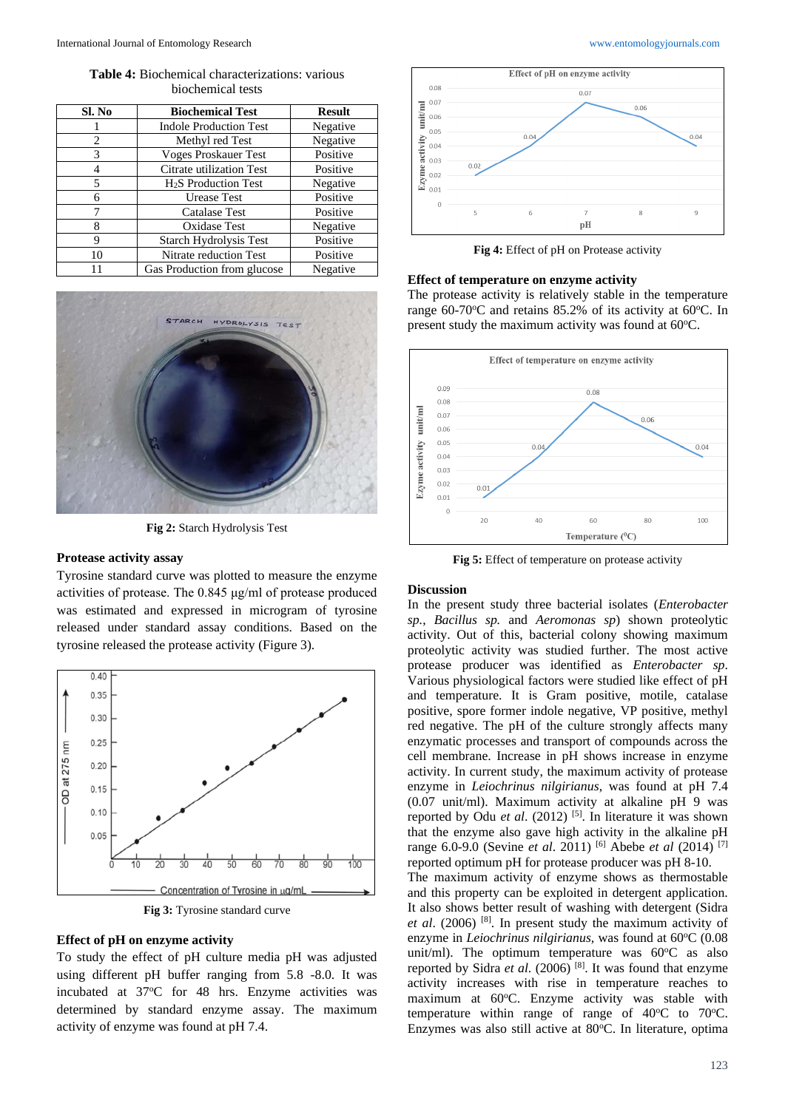**Table 4:** Biochemical characterizations: various biochemical tests

| Sl. No         | <b>Biochemical Test</b>          | <b>Result</b> |
|----------------|----------------------------------|---------------|
|                | <b>Indole Production Test</b>    | Negative      |
| $\mathfrak{D}$ | Methyl red Test                  | Negative      |
| 3              | <b>Voges Proskauer Test</b>      | Positive      |
|                | Citrate utilization Test         | Positive      |
| 5              | H <sub>2</sub> S Production Test | Negative      |
| 6              | Urease Test                      | Positive      |
|                | Catalase Test                    | Positive      |
| 8              | Oxidase Test                     | Negative      |
| 9              | <b>Starch Hydrolysis Test</b>    | Positive      |
| 10             | Nitrate reduction Test           | Positive      |
| 11             | Gas Production from glucose      | Negative      |



**Fig 2:** Starch Hydrolysis Test

#### **Protease activity assay**

Tyrosine standard curve was plotted to measure the enzyme activities of protease. The 0.845 μg/ml of protease produced was estimated and expressed in microgram of tyrosine released under standard assay conditions. Based on the tyrosine released the protease activity (Figure 3).



**Fig 3:** Tyrosine standard curve

#### **Effect of pH on enzyme activity**

To study the effect of pH culture media pH was adjusted using different pH buffer ranging from 5.8 -8.0. It was incubated at 37°C for 48 hrs. Enzyme activities was determined by standard enzyme assay. The maximum activity of enzyme was found at pH 7.4.





**Fig 4:** Effect of pH on Protease activity

#### **Effect of temperature on enzyme activity**

The protease activity is relatively stable in the temperature range 60-70 $\degree$ C and retains 85.2% of its activity at 60 $\degree$ C. In present study the maximum activity was found at  $60^{\circ}$ C.



**Fig 5:** Effect of temperature on protease activity

#### **Discussion**

In the present study three bacterial isolates (*Enterobacter sp.*, *Bacillus sp.* and *Aeromonas sp*) shown proteolytic activity. Out of this, bacterial colony showing maximum proteolytic activity was studied further. The most active protease producer was identified as *Enterobacter sp*. Various physiological factors were studied like effect of pH and temperature. It is Gram positive, motile, catalase positive, spore former indole negative, VP positive, methyl red negative. The pH of the culture strongly affects many enzymatic processes and transport of compounds across the cell membrane. Increase in pH shows increase in enzyme activity. In current study, the maximum activity of protease enzyme in *Leiochrinus nilgirianus*, was found at pH 7.4 (0.07 unit/ml). Maximum activity at alkaline pH 9 was reported by Odu *et al.* (2012)<sup>[5]</sup>. In literature it was shown that the enzyme also gave high activity in the alkaline pH range 6.0-9.0 (Sevine *et al*. 2011) [6] Abebe *et al* (2014) [7] reported optimum pH for protease producer was pH 8-10. The maximum activity of enzyme shows as thermostable and this property can be exploited in detergent application. It also shows better result of washing with detergent (Sidra *et al*. (2006) [8]. In present study the maximum activity of enzyme in *Leiochrinus nilgirianus*, was found at 60°C (0.08 unit/ml). The optimum temperature was  $60^{\circ}$ C as also reported by Sidra *et al*. (2006) [8]. It was found that enzyme activity increases with rise in temperature reaches to maximum at 60°C. Enzyme activity was stable with temperature within range of range of  $40^{\circ}$ C to  $70^{\circ}$ C. Enzymes was also still active at 80°C. In literature, optima